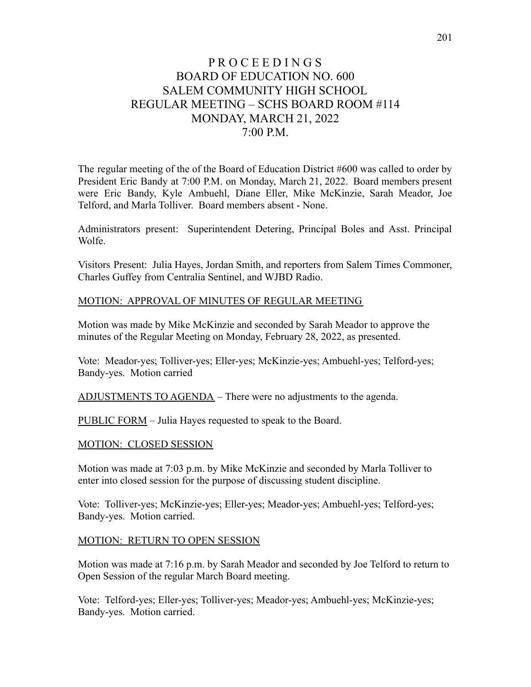# P R O C E E D I N G S BOARD OF EDUCATION NO. 600 SALEM COMMUNITY HIGH SCHOOL REGULAR MEETING – SCHS BOARD ROOM #114 MONDAY, MARCH 21, 2022 7:00 P.M.

The regular meeting of the of the Board of Education District #600 was called to order by President Eric Bandy at 7:00 P.M. on Monday, March 21, 2022. Board members present were Eric Bandy, Kyle Ambuehl, Diane Eller, Mike McKinzie, Sarah Meador, Joe Telford, and Marla Tolliver. Board members absent - None.

Administrators present: Superintendent Detering, Principal Boles and Asst. Principal Wolfe.

Visitors Present: Julia Hayes, Jordan Smith, and reporters from Salem Times Commoner, Charles Guffey from Centralia Sentinel, and WJBD Radio.

#### MOTION: APPROVAL OF MINUTES OF REGULAR MEETING

Motion was made by Mike McKinzie and seconded by Sarah Meador to approve the minutes of the Regular Meeting on Monday, February 28, 2022, as presented.

Vote: Meador-yes; Tolliver-yes; Eller-yes; McKinzie-yes; Ambuehl-yes; Telford-yes; Bandy-yes. Motion carried

ADJUSTMENTS TO AGENDA – There were no adjustments to the agenda.

PUBLIC FORM – Julia Hayes requested to speak to the Board.

MOTION: CLOSED SESSION

Motion was made at 7:03 p.m. by Mike McKinzie and seconded by Marla Tolliver to enter into closed session for the purpose of discussing student discipline.

Vote: Tolliver-yes; McKinzie-yes; Eller-yes; Meador-yes; Ambuehl-yes; Telford-yes; Bandy-yes. Motion carried.

#### MOTION: RETURN TO OPEN SESSION

Motion was made at 7:16 p.m. by Sarah Meador and seconded by Joe Telford to return to Open Session of the regular March Board meeting.

Vote: Telford-yes; Eller-yes; Tolliver-yes; Meador-yes; Ambuehl-yes; McKinzie-yes; Bandy-yes. Motion carried.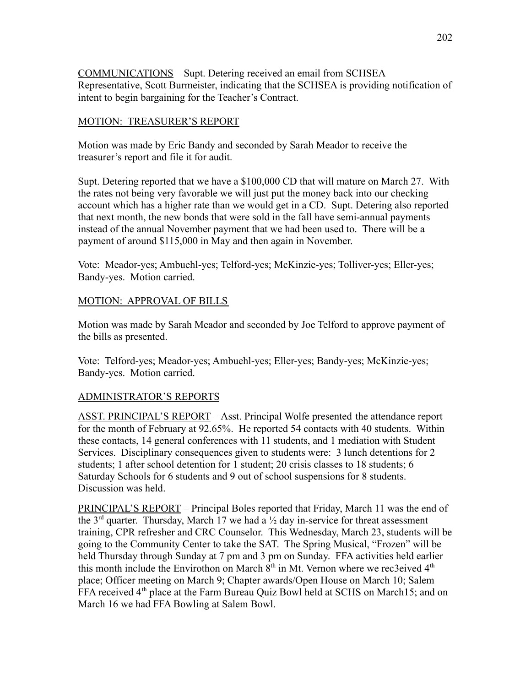COMMUNICATIONS – Supt. Detering received an email from SCHSEA Representative, Scott Burmeister, indicating that the SCHSEA is providing notification of intent to begin bargaining for the Teacher's Contract.

## MOTION: TREASURER'S REPORT

Motion was made by Eric Bandy and seconded by Sarah Meador to receive the treasurer's report and file it for audit.

Supt. Detering reported that we have a \$100,000 CD that will mature on March 27. With the rates not being very favorable we will just put the money back into our checking account which has a higher rate than we would get in a CD. Supt. Detering also reported that next month, the new bonds that were sold in the fall have semi-annual payments instead of the annual November payment that we had been used to. There will be a payment of around \$115,000 in May and then again in November.

Vote: Meador-yes; Ambuehl-yes; Telford-yes; McKinzie-yes; Tolliver-yes; Eller-yes; Bandy-yes. Motion carried.

#### MOTION: APPROVAL OF BILLS

Motion was made by Sarah Meador and seconded by Joe Telford to approve payment of the bills as presented.

Vote: Telford-yes; Meador-yes; Ambuehl-yes; Eller-yes; Bandy-yes; McKinzie-yes; Bandy-yes. Motion carried.

# ADMINISTRATOR'S REPORTS

ASST. PRINCIPAL'S REPORT – Asst. Principal Wolfe presented the attendance report for the month of February at 92.65%. He reported 54 contacts with 40 students. Within these contacts, 14 general conferences with 11 students, and 1 mediation with Student Services. Disciplinary consequences given to students were: 3 lunch detentions for 2 students; 1 after school detention for 1 student; 20 crisis classes to 18 students; 6 Saturday Schools for 6 students and 9 out of school suspensions for 8 students. Discussion was held.

PRINCIPAL'S REPORT – Principal Boles reported that Friday, March 11 was the end of the  $3<sup>rd</sup>$  quarter. Thursday, March 17 we had a  $\frac{1}{2}$  day in-service for threat assessment training, CPR refresher and CRC Counselor. This Wednesday, March 23, students will be going to the Community Center to take the SAT. The Spring Musical, "Frozen" will be held Thursday through Sunday at 7 pm and 3 pm on Sunday. FFA activities held earlier this month include the Envirothon on March  $8<sup>th</sup>$  in Mt. Vernon where we rec3eived  $4<sup>th</sup>$ place; Officer meeting on March 9; Chapter awards/Open House on March 10; Salem FFA received 4<sup>th</sup> place at the Farm Bureau Quiz Bowl held at SCHS on March15; and on March 16 we had FFA Bowling at Salem Bowl.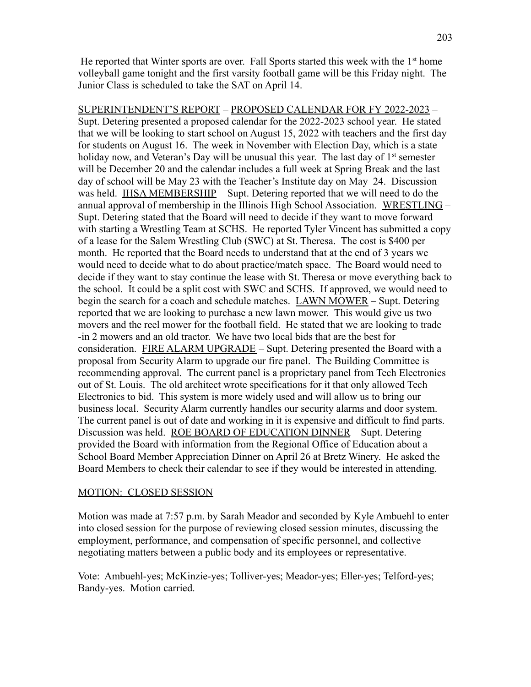He reported that Winter sports are over. Fall Sports started this week with the  $1<sup>st</sup>$  home volleyball game tonight and the first varsity football game will be this Friday night. The Junior Class is scheduled to take the SAT on April 14.

SUPERINTENDENT'S REPORT – PROPOSED CALENDAR FOR FY 2022-2023 – Supt. Detering presented a proposed calendar for the 2022-2023 school year. He stated that we will be looking to start school on August 15, 2022 with teachers and the first day for students on August 16. The week in November with Election Day, which is a state holiday now, and Veteran's Day will be unusual this year. The last day of  $1<sup>st</sup>$  semester will be December 20 and the calendar includes a full week at Spring Break and the last day of school will be May 23 with the Teacher's Institute day on May 24. Discussion was held. IHSA MEMBERSHIP – Supt. Detering reported that we will need to do the annual approval of membership in the Illinois High School Association. WRESTLING – Supt. Detering stated that the Board will need to decide if they want to move forward with starting a Wrestling Team at SCHS. He reported Tyler Vincent has submitted a copy of a lease for the Salem Wrestling Club (SWC) at St. Theresa. The cost is \$400 per month. He reported that the Board needs to understand that at the end of 3 years we would need to decide what to do about practice/match space. The Board would need to decide if they want to stay continue the lease with St. Theresa or move everything back to the school. It could be a split cost with SWC and SCHS. If approved, we would need to begin the search for a coach and schedule matches. LAWN MOWER – Supt. Detering reported that we are looking to purchase a new lawn mower. This would give us two movers and the reel mower for the football field. He stated that we are looking to trade -in 2 mowers and an old tractor. We have two local bids that are the best for consideration. FIRE ALARM UPGRADE – Supt. Detering presented the Board with a proposal from Security Alarm to upgrade our fire panel. The Building Committee is recommending approval. The current panel is a proprietary panel from Tech Electronics out of St. Louis. The old architect wrote specifications for it that only allowed Tech Electronics to bid. This system is more widely used and will allow us to bring our business local. Security Alarm currently handles our security alarms and door system. The current panel is out of date and working in it is expensive and difficult to find parts. Discussion was held. ROE BOARD OF EDUCATION DINNER – Supt. Detering provided the Board with information from the Regional Office of Education about a School Board Member Appreciation Dinner on April 26 at Bretz Winery. He asked the Board Members to check their calendar to see if they would be interested in attending.

#### MOTION: CLOSED SESSION

Motion was made at 7:57 p.m. by Sarah Meador and seconded by Kyle Ambuehl to enter into closed session for the purpose of reviewing closed session minutes, discussing the employment, performance, and compensation of specific personnel, and collective negotiating matters between a public body and its employees or representative.

Vote: Ambuehl-yes; McKinzie-yes; Tolliver-yes; Meador-yes; Eller-yes; Telford-yes; Bandy-yes. Motion carried.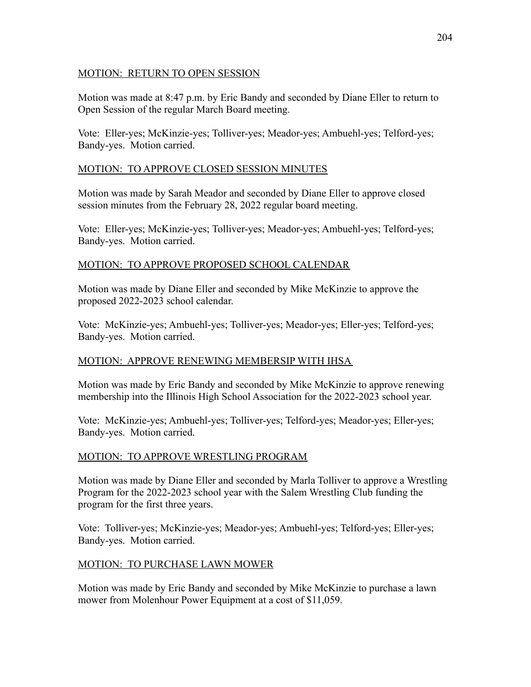#### MOTION: RETURN TO OPEN SESSION

Motion was made at 8:47 p.m. by Eric Bandy and seconded by Diane Eller to return to Open Session of the regular March Board meeting.

Vote: Eller-yes; McKinzie-yes; Tolliver-yes; Meador-yes; Ambuehl-yes; Telford-yes; Bandy-yes. Motion carried.

## MOTION: TO APPROVE CLOSED SESSION MINUTES

Motion was made by Sarah Meador and seconded by Diane Eller to approve closed session minutes from the February 28, 2022 regular board meeting.

Vote: Eller-yes; McKinzie-yes; Tolliver-yes; Meador-yes; Ambuehl-yes; Telford-yes; Bandy-yes. Motion carried.

# MOTION: TO APPROVE PROPOSED SCHOOL CALENDAR

Motion was made by Diane Eller and seconded by Mike McKinzie to approve the proposed 2022-2023 school calendar.

Vote: McKinzie-yes; Ambuehl-yes; Tolliver-yes; Meador-yes; Eller-yes; Telford-yes; Bandy-yes. Motion carried.

# MOTION: APPROVE RENEWING MEMBERSIP WITH IHSA

Motion was made by Eric Bandy and seconded by Mike McKinzie to approve renewing membership into the Illinois High School Association for the 2022-2023 school year.

Vote: McKinzie-yes; Ambuehl-yes; Tolliver-yes; Telford-yes; Meador-yes; Eller-yes; Bandy-yes. Motion carried.

# MOTION: TO APPROVE WRESTLING PROGRAM

Motion was made by Diane Eller and seconded by Marla Tolliver to approve a Wrestling Program for the 2022-2023 school year with the Salem Wrestling Club funding the program for the first three years.

Vote: Tolliver-yes; McKinzie-yes; Meador-yes; Ambuehl-yes; Telford-yes; Eller-yes; Bandy-yes. Motion carried.

# MOTION: TO PURCHASE LAWN MOWER

Motion was made by Eric Bandy and seconded by Mike McKinzie to purchase a lawn mower from Molenhour Power Equipment at a cost of \$11,059.